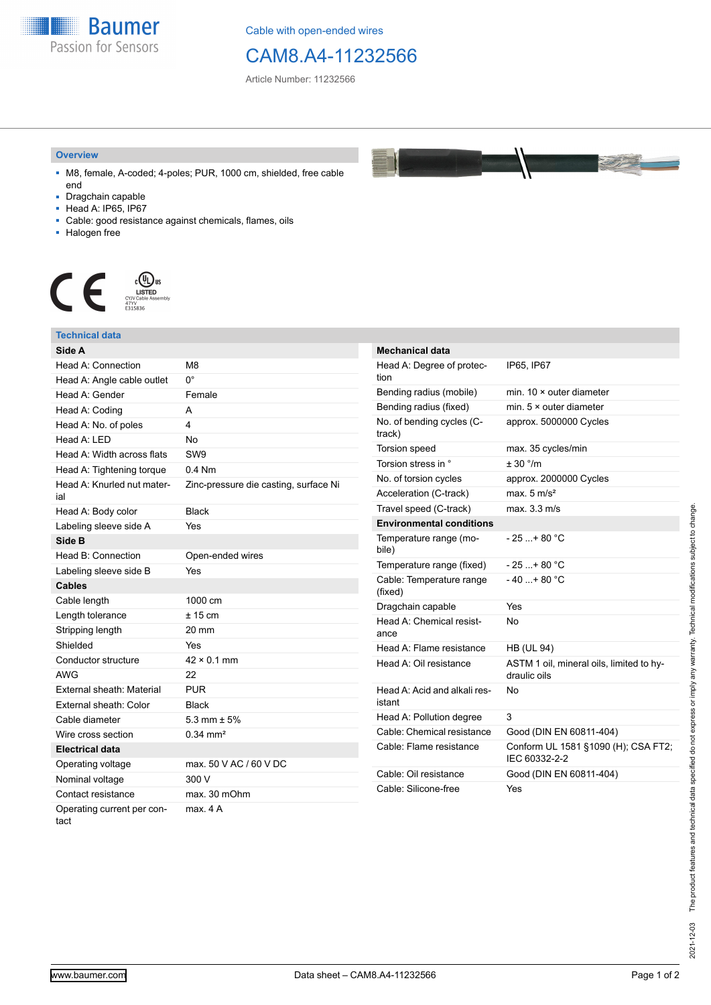

Cable with open-ended wires

## CAM8.A4-11232566

Article Number: 11232566

## **Overview**

- M8, female, A-coded; 4-poles; PUR, 1000 cm, shielded, free cable end
- Dragchain capable
- Head A: IP65, IP67
- Cable: good resistance against chemicals, flames, oils
- Halogen free



## **Technical data**

| Side A                             |                                       |
|------------------------------------|---------------------------------------|
| Head A: Connection                 | M8                                    |
| Head A: Angle cable outlet         | 0°                                    |
| Head A: Gender                     | Female                                |
| Head A: Coding                     | A                                     |
| Head A: No. of poles               | 4                                     |
| Head $A \cdot IFD$                 | No                                    |
| Head A: Width across flats         | SW <sub>9</sub>                       |
| Head A: Tightening torque          | $0.4$ Nm                              |
| Head A: Knurled nut mater-<br>ial  | Zinc-pressure die casting, surface Ni |
| Head A: Body color                 | <b>Black</b>                          |
| Labeling sleeve side A             | Yes                                   |
| Side B                             |                                       |
| Head B: Connection                 | Open-ended wires                      |
| Labeling sleeve side B             | Yes                                   |
| <b>Cables</b>                      |                                       |
| Cable length                       | 1000 cm                               |
| Length tolerance                   | $± 15$ cm                             |
| Stripping length                   | 20 mm                                 |
| Shielded                           | Yes                                   |
| Conductor structure                | $42 \times 0.1$ mm                    |
| <b>AWG</b>                         | 22                                    |
| External sheath: Material          | <b>PUR</b>                            |
| External sheath: Color             | <b>Black</b>                          |
| Cable diameter                     | 5.3 mm $\pm$ 5%                       |
| Wire cross section                 | $0.34 \, \text{mm}^2$                 |
| <b>Electrical data</b>             |                                       |
| Operating voltage                  | max, 50 V AC / 60 V DC                |
| Nominal voltage                    | 300 V                                 |
| Contact resistance                 | max. 30 mOhm                          |
| Operating current per con-<br>tact | max 4 A                               |

| Mechanical data                        |                                                          |
|----------------------------------------|----------------------------------------------------------|
| Head A: Degree of protec-<br>tion      | IP65, IP67                                               |
| Bending radius (mobile)                | min. $10 \times$ outer diameter                          |
| Bending radius (fixed)                 | min. $5 \times$ outer diameter                           |
| No. of bending cycles (C-<br>track)    | approx. 5000000 Cycles                                   |
| <b>Torsion speed</b>                   | max. 35 cycles/min                                       |
| Torsion stress in °                    | $+30$ $^{\circ}/m$                                       |
| No. of torsion cycles                  | approx. 2000000 Cycles                                   |
| Acceleration (C-track)                 | max. $5 \text{ m/s}^2$                                   |
| Travel speed (C-track)                 | max. 3.3 m/s                                             |
| <b>Environmental conditions</b>        |                                                          |
| Temperature range (mo-<br>bile)        | $-25+80 °C$                                              |
| Temperature range (fixed)              | $-25+80 °C$                                              |
| Cable: Temperature range<br>(fixed)    | $-40+80 °C$                                              |
| Dragchain capable                      | Yes                                                      |
| Head A: Chemical resist-<br>ance       | No                                                       |
| Head A: Flame resistance               | <b>HB (UL 94)</b>                                        |
| Head A: Oil resistance                 | ASTM 1 oil, mineral oils, limited to hy-<br>draulic oils |
| Head A: Acid and alkali res-<br>istant | N٥                                                       |
| Head A: Pollution degree               | 3                                                        |
| Cable: Chemical resistance             | Good (DIN EN 60811-404)                                  |
| Cable: Flame resistance                | Conform UL 1581 §1090 (H); CSA FT2;<br>IEC 60332-2-2     |
| Cable: Oil resistance                  | Good (DIN EN 60811-404)                                  |
| Cable: Silicone-free                   | Yes                                                      |